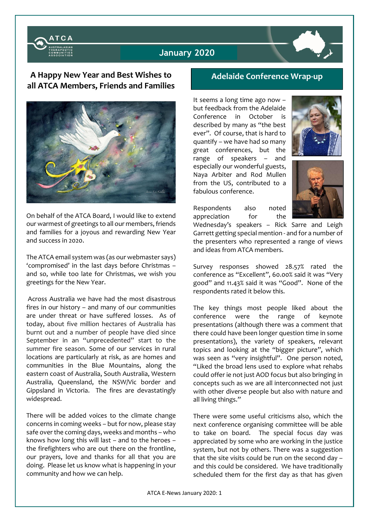

# January 2020

#### A Happy New Year and Best Wishes to all ATCA Members, Friends and Families



On behalf of the ATCA Board, I would like to extend our warmest of greetings to all our members, friends and families for a joyous and rewarding New Year and success in 2020.

The ATCA email system was (as our webmaster says) 'compromised' in the last days before Christmas – and so, while too late for Christmas, we wish you greetings for the New Year.

Across Australia we have had the most disastrous fires in our history – and many of our communities are under threat or have suffered losses. As of today, about five million hectares of Australia has burnt out and a number of people have died since September in an "unprecedented" start to the summer fire season. Some of our services in rural locations are particularly at risk, as are homes and communities in the Blue Mountains, along the eastern coast of Australia, South Australia, Western Australia, Queensland, the NSW/Vic border and Gippsland in Victoria. The fires are devastatingly widespread.

There will be added voices to the climate change concerns in coming weeks – but for now, please stay safe over the coming days, weeks and months – who knows how long this will last – and to the heroes – the firefighters who are out there on the frontline, our prayers, love and thanks for all that you are doing. Please let us know what is happening in your community and how we can help.

#### Adelaide Conference Wrap-up

It seems a long time ago now – but feedback from the Adelaide Conference in October is described by many as "the best ever". Of course, that is hard to quantify – we have had so many great conferences, but the range of speakers – and especially our wonderful guests, Naya Arbiter and Rod Mullen from the US, contributed to a fabulous conference.





Respondents also noted appreciation for the

Wednesday's speakers – Rick Sarre and Leigh Garrett getting special mention - and for a number of the presenters who represented a range of views and ideas from ATCA members.

Survey responses showed 28.57% rated the conference as "Excellent", 60.00% said it was "Very good" and 11.43% said it was "Good". None of the respondents rated it below this.

The key things most people liked about the conference were the range of keynote presentations (although there was a comment that there could have been longer question time in some presentations), the variety of speakers, relevant topics and looking at the "bigger picture", which was seen as "very insightful". One person noted, "Liked the broad lens used to explore what rehabs could offer ie not just AOD focus but also bringing in concepts such as we are all interconnected not just with other diverse people but also with nature and all living things."

There were some useful criticisms also, which the next conference organising committee will be able to take on board. The special focus day was appreciated by some who are working in the justice system, but not by others. There was a suggestion that the site visits could be run on the second day – and this could be considered. We have traditionally scheduled them for the first day as that has given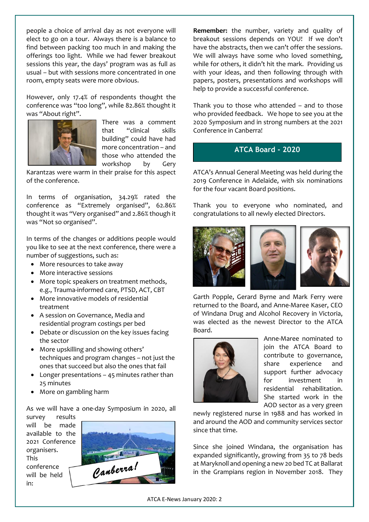people a choice of arrival day as not everyone will elect to go on a tour. Always there is a balance to find between packing too much in and making the offerings too light. While we had fewer breakout sessions this year, the days' program was as full as usual – but with sessions more concentrated in one room, empty seats were more obvious.

However, only 17.4% of respondents thought the conference was "too long", while 82.86% thought it was "About right".



There was a comment that "clinical skills building" could have had more concentration – and those who attended the workshop by Gery

Karantzas were warm in their praise for this aspect of the conference.

In terms of organisation, 34.29% rated the conference as "Extremely organised", 62.86% thought it was "Very organised" and 2.86% though it was "Not so organised".

In terms of the changes or additions people would you like to see at the next conference, there were a number of suggestions, such as:

- More resources to take away
- More interactive sessions
- More topic speakers on treatment methods, e.g., Trauma-informed care, PTSD, ACT, CBT
- More innovative models of residential treatment
- A session on Governance, Media and residential program costings per bed
- Debate or discussion on the key issues facing the sector
- More upskilling and showing others' techniques and program changes – not just the ones that succeed but also the ones that fail
- Longer presentations 45 minutes rather than 25 minutes
- More on gambling harm

As we will have a one-day Symposium in 2020, all

survey results will be made available to the 2021 Conference organisers. This conference will be held in:



Remember: the number, variety and quality of breakout sessions depends on YOU! If we don't have the abstracts, then we can't offer the sessions. We will always have some who loved something, while for others, it didn't hit the mark. Providing us with your ideas, and then following through with papers, posters, presentations and workshops will help to provide a successful conference.

Thank you to those who attended – and to those who provided feedback. We hope to see you at the 2020 Symposium and in strong numbers at the 2021 Conference in Canberra!

#### ATCA Board - 2020

ATCA's Annual General Meeting was held during the 2019 Conference in Adelaide, with six nominations for the four vacant Board positions.

Thank you to everyone who nominated, and congratulations to all newly elected Directors.



Garth Popple, Gerard Byrne and Mark Ferry were returned to the Board, and Anne-Maree Kaser, CEO of Windana Drug and Alcohol Recovery in Victoria, was elected as the newest Director to the ATCA Board.



Anne-Maree nominated to join the ATCA Board to contribute to governance, share experience and support further advocacy for investment in residential rehabilitation. She started work in the AOD sector as a very green

newly registered nurse in 1988 and has worked in and around the AOD and community services sector since that time.

Since she joined Windana, the organisation has expanded significantly, growing from 35 to 78 beds at Maryknoll and opening a new 20 bed TC at Ballarat in the Grampians region in November 2018. They

ATCA E-News January 2020: 2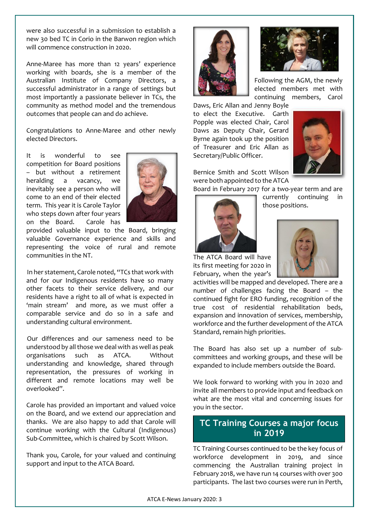were also successful in a submission to establish a new 30 bed TC in Corio in the Barwon region which will commence construction in 2020.

Anne-Maree has more than 12 years' experience working with boards, she is a member of the Australian Institute of Company Directors, a successful administrator in a range of settings but most importantly a passionate believer in TCs, the community as method model and the tremendous outcomes that people can and do achieve.

Congratulations to Anne-Maree and other newly elected Directors.

It is wonderful to see competition for Board positions – but without a retirement heralding a vacancy, we inevitably see a person who will come to an end of their elected term. This year it is Carole Taylor who steps down after four years on the Board. Carole has



provided valuable input to the Board, bringing valuable Governance experience and skills and representing the voice of rural and remote communities in the NT.

In her statement, Carole noted, "TCs that work with and for our Indigenous residents have so many other facets to their service delivery, and our residents have a right to all of what is expected in 'main stream' and more, as we must offer a comparable service and do so in a safe and understanding cultural environment.

Our differences and our sameness need to be understood by all those we deal with as well as peak organisations such as ATCA. Without understanding and knowledge, shared through representation, the pressures of working in different and remote locations may well be overlooked".

Carole has provided an important and valued voice on the Board, and we extend our appreciation and thanks. We are also happy to add that Carole will continue working with the Cultural (Indigenous) Sub-Committee, which is chaired by Scott Wilson.

Thank you, Carole, for your valued and continuing support and input to the ATCA Board.





Following the AGM, the newly elected members met with continuing members, Carol

Daws, Eric Allan and Jenny Boyle to elect the Executive. Garth Popple was elected Chair, Carol Daws as Deputy Chair, Gerard Byrne again took up the position of Treasurer and Eric Allan as Secretary/Public Officer.



Bernice Smith and Scott Wilson were both appointed to the ATCA

Board in February 2017 for a two-year term and are



currently continuing in those positions.



The ATCA Board will have its first meeting for 2020 in February, when the year's

activities will be mapped and developed. There are a number of challenges facing the Board – the continued fight for ERO funding, recognition of the true cost of residential rehabilitation beds, expansion and innovation of services, membership, workforce and the further development of the ATCA Standard, remain high priorities.

The Board has also set up a number of subcommittees and working groups, and these will be expanded to include members outside the Board.

We look forward to working with you in 2020 and invite all members to provide input and feedback on what are the most vital and concerning issues for you in the sector.

### TC Training Courses a major focus in 2019

TC Training Courses continued to be the key focus of workforce development in 2019, and since commencing the Australian training project in February 2018, we have run 14 courses with over 300 participants. The last two courses were run in Perth,